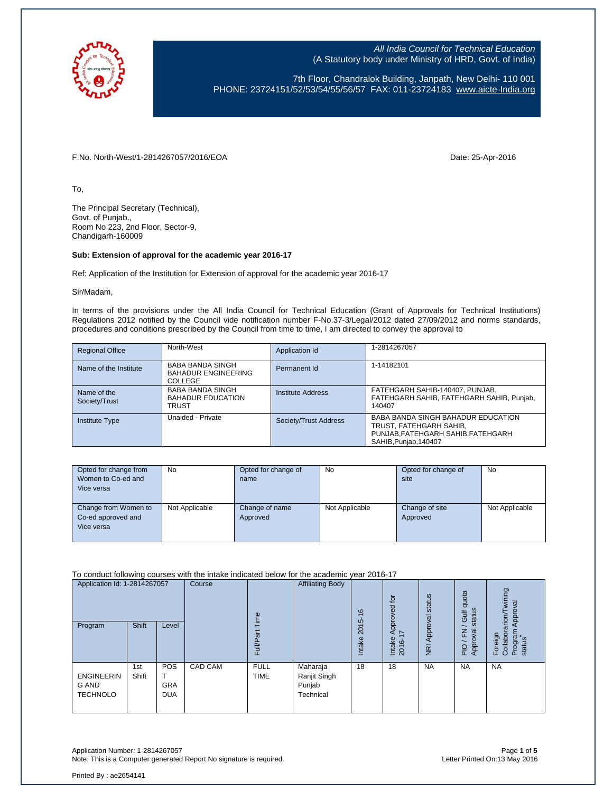

7th Floor, Chandralok Building, Janpath, New Delhi- 110 001 PHONE: 23724151/52/53/54/55/56/57 FAX: 011-23724183 [www.aicte-India.org](http://www.aicte-india.org/)

F.No. North-West/1-2814267057/2016/EOA Date: 25-Apr-2016

To,

The Principal Secretary (Technical), Govt. of Punjab., Room No 223, 2nd Floor, Sector-9, Chandigarh-160009

#### **Sub: Extension of approval for the academic year 2016-17**

Ref: Application of the Institution for Extension of approval for the academic year 2016-17

Sir/Madam,

In terms of the provisions under the All India Council for Technical Education (Grant of Approvals for Technical Institutions) Regulations 2012 notified by the Council vide notification number F-No.37-3/Legal/2012 dated 27/09/2012 and norms standards, procedures and conditions prescribed by the Council from time to time, I am directed to convey the approval to

| <b>Regional Office</b>       | North-West                                                              | Application Id        | 1-2814267057                                                                                                                 |
|------------------------------|-------------------------------------------------------------------------|-----------------------|------------------------------------------------------------------------------------------------------------------------------|
| Name of the Institute        | <b>BABA BANDA SINGH</b><br><b>BAHADUR ENGINEERING</b><br><b>COLLEGE</b> | Permanent Id          | 1-14182101                                                                                                                   |
| Name of the<br>Society/Trust | <b>BABA BANDA SINGH</b><br><b>BAHADUR EDUCATION</b><br><b>TRUST</b>     | Institute Address     | FATEHGARH SAHIB-140407, PUNJAB,<br>FATEHGARH SAHIB, FATEHGARH SAHIB, Punjab,<br>140407                                       |
| <b>Institute Type</b>        | Unaided - Private                                                       | Society/Trust Address | BABA BANDA SINGH BAHADUR EDUCATION<br>TRUST, FATEHGARH SAHIB,<br>PUNJAB, FATEHGARH SAHIB, FATEHGARH<br>SAHIB, Punjab, 140407 |

| Opted for change from | <b>No</b>      | Opted for change of | <b>No</b>      | Opted for change of | <b>No</b>      |
|-----------------------|----------------|---------------------|----------------|---------------------|----------------|
| Women to Co-ed and    |                | name                |                | site                |                |
| Vice versa            |                |                     |                |                     |                |
|                       |                |                     |                |                     |                |
| Change from Women to  | Not Applicable | Change of name      | Not Applicable | Change of site      | Not Applicable |
| Co-ed approved and    |                | Approved            |                | Approved            |                |
| Vice versa            |                |                     |                |                     |                |
|                       |                |                     |                |                     |                |

To conduct following courses with the intake indicated below for the academic year 2016-17

| Application Id: 1-2814267057<br>Program       | <b>Shift</b> | Level                                  | Course  | em<br>Ξ<br>ш               | <b>Affiliating Body</b>                         | $\circ$<br>$\div$<br>ယ<br>201<br>Intake | $\overline{p}$<br>Approved<br>$\overline{ }$<br>Intake<br>2016- | status<br>Approval<br>$\overline{R}$ | quota<br>status<br>Gulf<br>준<br>roval<br>App<br>PIO | wining<br>Approval<br>arion/<br>Program<br>status<br>Foreign<br>Collabor |
|-----------------------------------------------|--------------|----------------------------------------|---------|----------------------------|-------------------------------------------------|-----------------------------------------|-----------------------------------------------------------------|--------------------------------------|-----------------------------------------------------|--------------------------------------------------------------------------|
| <b>ENGINEERIN</b><br>G AND<br><b>TECHNOLO</b> | 1st<br>Shift | <b>POS</b><br><b>GRA</b><br><b>DUA</b> | CAD CAM | <b>FULL</b><br><b>TIME</b> | Maharaja<br>Ranjit Singh<br>Punjab<br>Technical | 18                                      | 18                                                              | <b>NA</b>                            | <b>NA</b>                                           | <b>NA</b>                                                                |

Application Number: 1-2814267057 Page **1** of **5** Note: This is a Computer generated Report. No signature is required.

Printed By : ae2654141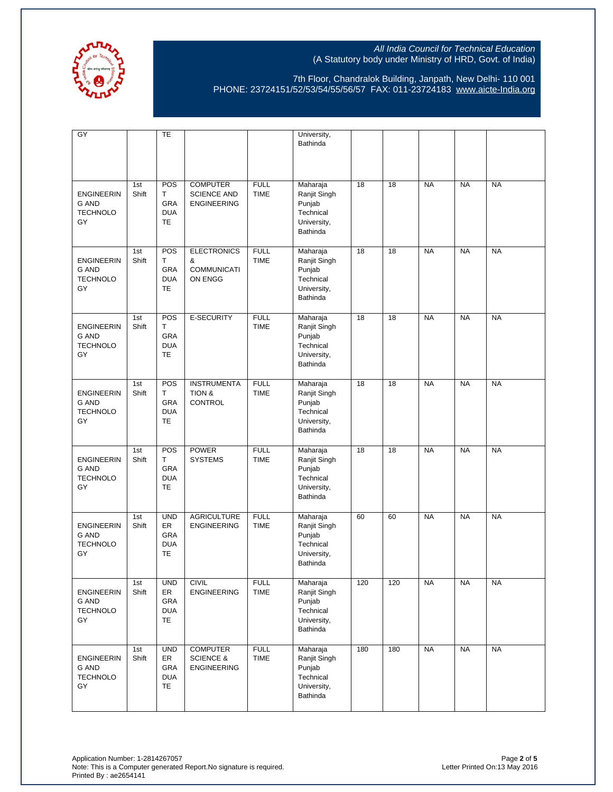

7th Floor, Chandralok Building, Janpath, New Delhi- 110 001 PHONE: 23724151/52/53/54/55/56/57 FAX: 011-23724183 [www.aicte-India.org](http://www.aicte-india.org/)

| $\overline{GY}$                                            |              | <b>TE</b>                                                 |                                                               |                            | University,                                                                |     |     |           |           |           |
|------------------------------------------------------------|--------------|-----------------------------------------------------------|---------------------------------------------------------------|----------------------------|----------------------------------------------------------------------------|-----|-----|-----------|-----------|-----------|
|                                                            |              |                                                           |                                                               |                            | Bathinda                                                                   |     |     |           |           |           |
| <b>ENGINEERIN</b><br><b>G AND</b><br><b>TECHNOLO</b><br>GY | 1st<br>Shift | POS<br>T.<br><b>GRA</b><br><b>DUA</b><br><b>TE</b>        | <b>COMPUTER</b><br><b>SCIENCE AND</b><br><b>ENGINEERING</b>   | <b>FULL</b><br><b>TIME</b> | Maharaja<br>Ranjit Singh<br>Punjab<br>Technical<br>University,<br>Bathinda | 18  | 18  | <b>NA</b> | <b>NA</b> | <b>NA</b> |
| <b>ENGINEERIN</b><br><b>G AND</b><br><b>TECHNOLO</b><br>GY | 1st<br>Shift | POS<br>T.<br>GRA<br><b>DUA</b><br><b>TE</b>               | <b>ELECTRONICS</b><br>&<br><b>COMMUNICATI</b><br>ON ENGG      | <b>FULL</b><br><b>TIME</b> | Maharaja<br>Ranjit Singh<br>Punjab<br>Technical<br>University,<br>Bathinda | 18  | 18  | <b>NA</b> | <b>NA</b> | <b>NA</b> |
| <b>ENGINEERIN</b><br><b>G AND</b><br><b>TECHNOLO</b><br>GY | 1st<br>Shift | POS<br>T.<br>GRA<br><b>DUA</b><br><b>TE</b>               | E-SECURITY                                                    | <b>FULL</b><br><b>TIME</b> | Maharaja<br>Ranjit Singh<br>Punjab<br>Technical<br>University,<br>Bathinda | 18  | 18  | <b>NA</b> | <b>NA</b> | <b>NA</b> |
| <b>ENGINEERIN</b><br><b>G AND</b><br><b>TECHNOLO</b><br>GY | 1st<br>Shift | POS<br>T<br>GRA<br><b>DUA</b><br><b>TE</b>                | <b>INSTRUMENTA</b><br>TION &<br><b>CONTROL</b>                | <b>FULL</b><br><b>TIME</b> | Maharaja<br>Ranjit Singh<br>Punjab<br>Technical<br>University,<br>Bathinda | 18  | 18  | <b>NA</b> | <b>NA</b> | <b>NA</b> |
| <b>ENGINEERIN</b><br><b>G AND</b><br><b>TECHNOLO</b><br>GY | 1st<br>Shift | POS<br>Τ<br>GRA<br><b>DUA</b><br>TE                       | <b>POWER</b><br><b>SYSTEMS</b>                                | <b>FULL</b><br><b>TIME</b> | Maharaja<br>Ranjit Singh<br>Punjab<br>Technical<br>University,<br>Bathinda | 18  | 18  | <b>NA</b> | <b>NA</b> | <b>NA</b> |
| <b>ENGINEERIN</b><br><b>G AND</b><br><b>TECHNOLO</b><br>GY | 1st<br>Shift | <b>UND</b><br><b>ER</b><br>GRA<br><b>DUA</b><br><b>TE</b> | <b>AGRICULTURE</b><br><b>ENGINEERING</b>                      | <b>FULL</b><br><b>TIME</b> | Maharaja<br>Ranjit Singh<br>Punjab<br>Technical<br>University,<br>Bathinda | 60  | 60  | <b>NA</b> | <b>NA</b> | <b>NA</b> |
| <b>ENGINEERIN</b><br><b>G AND</b><br><b>TECHNOLO</b><br>GY | 1st<br>Shift | <b>UND</b><br>ER<br>GRA<br><b>DUA</b><br>TE               | <b>CIVIL</b><br><b>ENGINEERING</b>                            | <b>FULL</b><br><b>TIME</b> | Maharaja<br>Ranjit Singh<br>Punjab<br>Technical<br>University,<br>Bathinda | 120 | 120 | <b>NA</b> | <b>NA</b> | <b>NA</b> |
| <b>ENGINEERIN</b><br><b>G AND</b><br><b>TECHNOLO</b><br>GY | 1st<br>Shift | <b>UND</b><br>ER<br>GRA<br><b>DUA</b><br>TE               | <b>COMPUTER</b><br><b>SCIENCE &amp;</b><br><b>ENGINEERING</b> | <b>FULL</b><br>TIME        | Maharaja<br>Ranjit Singh<br>Punjab<br>Technical<br>University,<br>Bathinda | 180 | 180 | <b>NA</b> | <b>NA</b> | <b>NA</b> |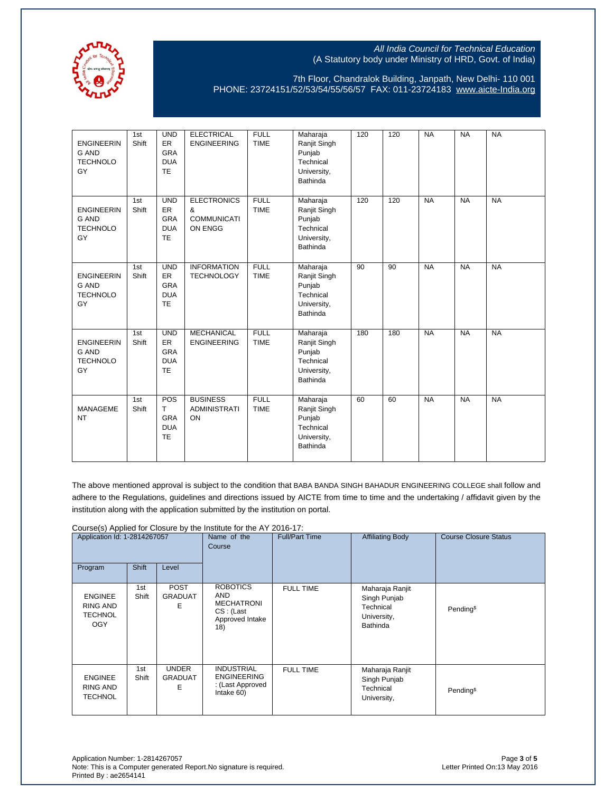

7th Floor, Chandralok Building, Janpath, New Delhi- 110 001 PHONE: 23724151/52/53/54/55/56/57 FAX: 011-23724183 [www.aicte-India.org](http://www.aicte-india.org/)

| <b>ENGINEERIN</b><br><b>G AND</b><br><b>TECHNOLO</b><br>GY | 1st<br>Shift | <b>UND</b><br><b>ER</b><br><b>GRA</b><br><b>DUA</b><br><b>TE</b> | <b>ELECTRICAL</b><br><b>ENGINEERING</b>                  | <b>FULL</b><br><b>TIME</b> | Maharaja<br>Ranjit Singh<br>Punjab<br>Technical<br>University,<br>Bathinda | 120 | 120 | <b>NA</b> | <b>NA</b> | <b>NA</b> |
|------------------------------------------------------------|--------------|------------------------------------------------------------------|----------------------------------------------------------|----------------------------|----------------------------------------------------------------------------|-----|-----|-----------|-----------|-----------|
| <b>ENGINEERIN</b><br><b>G AND</b><br><b>TECHNOLO</b><br>GY | 1st<br>Shift | <b>UND</b><br>ER<br><b>GRA</b><br><b>DUA</b><br><b>TE</b>        | <b>ELECTRONICS</b><br>&<br><b>COMMUNICATI</b><br>ON ENGG | <b>FULL</b><br><b>TIME</b> | Maharaja<br>Ranjit Singh<br>Punjab<br>Technical<br>University,<br>Bathinda | 120 | 120 | <b>NA</b> | <b>NA</b> | <b>NA</b> |
| <b>ENGINEERIN</b><br><b>G AND</b><br><b>TECHNOLO</b><br>GY | 1st<br>Shift | <b>UND</b><br>ER<br><b>GRA</b><br><b>DUA</b><br><b>TE</b>        | <b>INFORMATION</b><br><b>TECHNOLOGY</b>                  | <b>FULL</b><br><b>TIME</b> | Maharaja<br>Ranjit Singh<br>Punjab<br>Technical<br>University,<br>Bathinda | 90  | 90  | <b>NA</b> | <b>NA</b> | <b>NA</b> |
| <b>ENGINEERIN</b><br><b>G AND</b><br><b>TECHNOLO</b><br>GY | 1st<br>Shift | <b>UND</b><br>ER<br><b>GRA</b><br><b>DUA</b><br>TE               | <b>MECHANICAL</b><br><b>ENGINEERING</b>                  | <b>FULL</b><br><b>TIME</b> | Maharaja<br>Ranjit Singh<br>Punjab<br>Technical<br>University,<br>Bathinda | 180 | 180 | <b>NA</b> | <b>NA</b> | <b>NA</b> |
| <b>MANAGEME</b><br><b>NT</b>                               | 1st<br>Shift | POS<br>T<br><b>GRA</b><br><b>DUA</b><br>TE                       | <b>BUSINESS</b><br><b>ADMINISTRATI</b><br>ON             | <b>FULL</b><br><b>TIME</b> | Maharaja<br>Ranjit Singh<br>Punjab<br>Technical<br>University,<br>Bathinda | 60  | 60  | <b>NA</b> | <b>NA</b> | <b>NA</b> |

The above mentioned approval is subject to the condition that BABA BANDA SINGH BAHADUR ENGINEERING COLLEGE shall follow and adhere to the Regulations, guidelines and directions issued by AICTE from time to time and the undertaking / affidavit given by the institution along with the application submitted by the institution on portal.

Course(s) Applied for Closure by the Institute for the AY 2016-17:

| Application Id: 1-2814267057                        |              | Name of the<br>Course               | <b>Full/Part Time</b>                                                               | <b>Affiliating Body</b> | <b>Course Closure Status</b>                                                   |                       |
|-----------------------------------------------------|--------------|-------------------------------------|-------------------------------------------------------------------------------------|-------------------------|--------------------------------------------------------------------------------|-----------------------|
| Program                                             | <b>Shift</b> | Level                               |                                                                                     |                         |                                                                                |                       |
| <b>ENGINEE</b><br>RING AND<br><b>TECHNOL</b><br>OGY | 1st<br>Shift | <b>POST</b><br>GRADUAT<br>E         | <b>ROBOTICS</b><br>AND<br><b>MECHATRONI</b><br>CS: (Last)<br>Approved Intake<br>18) | <b>FULL TIME</b>        | Maharaja Ranjit<br>Singh Punjab<br>Technical<br>University,<br><b>Bathinda</b> | Pending <sup>\$</sup> |
| <b>ENGINEE</b><br>RING AND<br><b>TECHNOL</b>        | 1st<br>Shift | <b>UNDER</b><br><b>GRADUAT</b><br>Е | <b>INDUSTRIAL</b><br><b>ENGINEERING</b><br>: (Last Approved<br>Intake 60)           | <b>FULL TIME</b>        | Maharaja Ranjit<br>Singh Punjab<br>Technical<br>University,                    | Pending <sup>\$</sup> |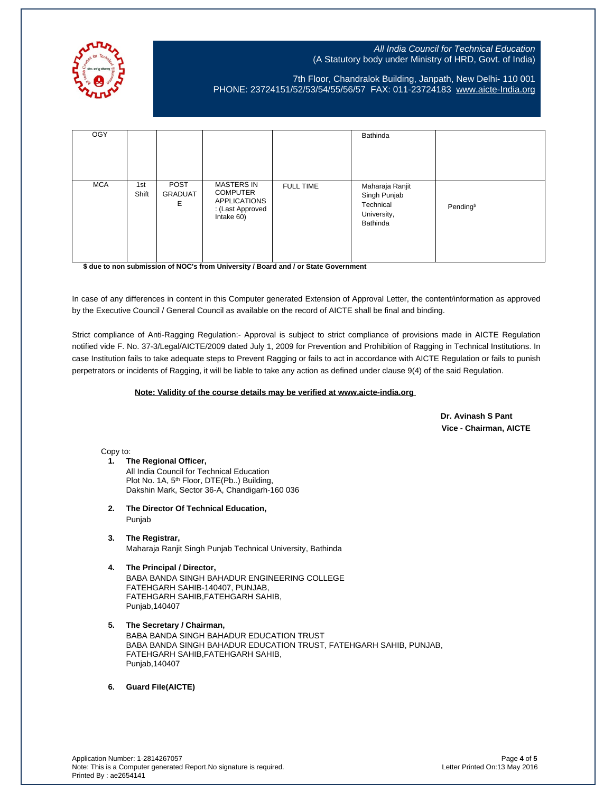

7th Floor, Chandralok Building, Janpath, New Delhi- 110 001 PHONE: 23724151/52/53/54/55/56/57 FAX: 011-23724183 [www.aicte-India.org](http://www.aicte-india.org/)

| <b>OGY</b> |              |                             |                                                                                               |                  | Bathinda                                                                |                       |
|------------|--------------|-----------------------------|-----------------------------------------------------------------------------------------------|------------------|-------------------------------------------------------------------------|-----------------------|
| <b>MCA</b> | 1st<br>Shift | POST<br><b>GRADUAT</b><br>E | <b>MASTERS IN</b><br><b>COMPUTER</b><br><b>APPLICATIONS</b><br>: (Last Approved<br>Intake 60) | <b>FULL TIME</b> | Maharaja Ranjit<br>Singh Punjab<br>Technical<br>University,<br>Bathinda | Pending <sup>\$</sup> |

**\$ due to non submission of NOC's from University / Board and / or State Government**

In case of any differences in content in this Computer generated Extension of Approval Letter, the content/information as approved by the Executive Council / General Council as available on the record of AICTE shall be final and binding.

Strict compliance of Anti-Ragging Regulation:- Approval is subject to strict compliance of provisions made in AICTE Regulation notified vide F. No. 37-3/Legal/AICTE/2009 dated July 1, 2009 for Prevention and Prohibition of Ragging in Technical Institutions. In case Institution fails to take adequate steps to Prevent Ragging or fails to act in accordance with AICTE Regulation or fails to punish perpetrators or incidents of Ragging, it will be liable to take any action as defined under clause 9(4) of the said Regulation.

#### **Note: Validity of the course details may be verified at www.aicte-india.org**

 **Dr. Avinash S Pant Vice - Chairman, AICTE**

Copy to:

- **1. The Regional Officer,** All India Council for Technical Education Plot No. 1A, 5<sup>th</sup> Floor, DTE(Pb..) Building, Dakshin Mark, Sector 36-A, Chandigarh-160 036
- **2. The Director Of Technical Education,** Punjab
- **3. The Registrar,** Maharaja Ranjit Singh Punjab Technical University, Bathinda

# **4. The Principal / Director,**

BABA BANDA SINGH BAHADUR ENGINEERING COLLEGE FATEHGARH SAHIB-140407, PUNJAB, FATEHGARH SAHIB,FATEHGARH SAHIB, Punjab,140407

**5. The Secretary / Chairman,** BABA BANDA SINGH BAHADUR EDUCATION TRUST BABA BANDA SINGH BAHADUR EDUCATION TRUST, FATEHGARH SAHIB, PUNJAB, FATEHGARH SAHIB,FATEHGARH SAHIB, Punjab,140407

**6. Guard File(AICTE)**